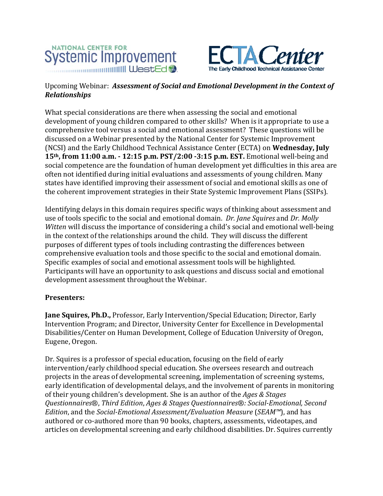



## Upcoming Webinar: *Assessment of Social and Emotional Development in the Context of Relationships*

What special considerations are there when assessing the social and emotional development of young children compared to other skills? When is it appropriate to use a comprehensive tool versus a social and emotional assessment? These questions will be discussed on a Webinar presented by the National Center for Systemic Improvement (NCSI) and the Early Childhood Technical Assistance Center (ECTA) on Wednesday, July **15th, from 11:00 a.m. ‐ 12:15 p.m. PST/2:00 ‐3:15 p.m. EST.** Emotional well‐being and social competence are the foundation of human development yet difficulties in this area are often not identified during initial evaluations and assessments of young children. Many states have identified improving their assessment of social and emotional skills as one of the coherent improvement strategies in their State Systemic Improvement Plans (SSIPs).

Identifying delays in this domain requires specific ways of thinking about assessment and use of tools specific to the social and emotional domain. *Dr. Jane Squires* and *Dr. Molly* Witten will discuss the importance of considering a child's social and emotional well-being in the context of the relationships around the child. They will discuss the different purposes of different types of tools including contrasting the differences between comprehensive evaluation tools and those specific to the social and emotional domain. Specific examples of social and emotional assessment tools will be highlighted. Participants will have an opportunity to ask questions and discuss social and emotional development assessment throughout the Webinar.

## **Presenters:**

**Jane Squires, Ph.D.,** Professor, Early Intervention/Special Education; Director, Early Intervention Program; and Director, University Center for Excellence in Developmental Disabilities/Center on Human Development, College of Education University of Oregon, Eugene, Oregon. 

Dr. Squires is a professor of special education, focusing on the field of early intervention/early childhood special education. She oversees research and outreach projects in the areas of developmental screening, implementation of screening systems, early identification of developmental delays, and the involvement of parents in monitoring of their young children's development. She is an author of the *Ages & Stages Questionnaires*®, *Third Edition*, *Ages & Stages Questionnaires*®*: Social‐Emotional, Second Edition*, and the *Social-Emotional Assessment/Evaluation Measure* (*SEAM™*), and has authored or co-authored more than 90 books, chapters, assessments, videotapes, and articles on developmental screening and early childhood disabilities. Dr. Squires currently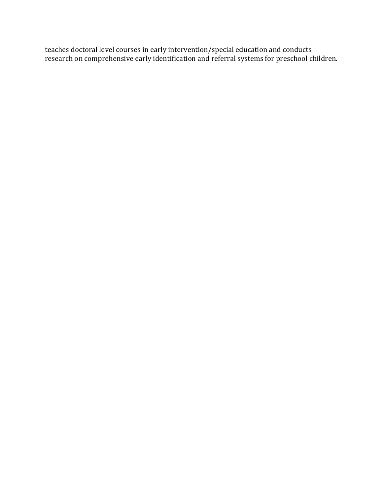teaches doctoral level courses in early intervention/special education and conducts research on comprehensive early identification and referral systems for preschool children.